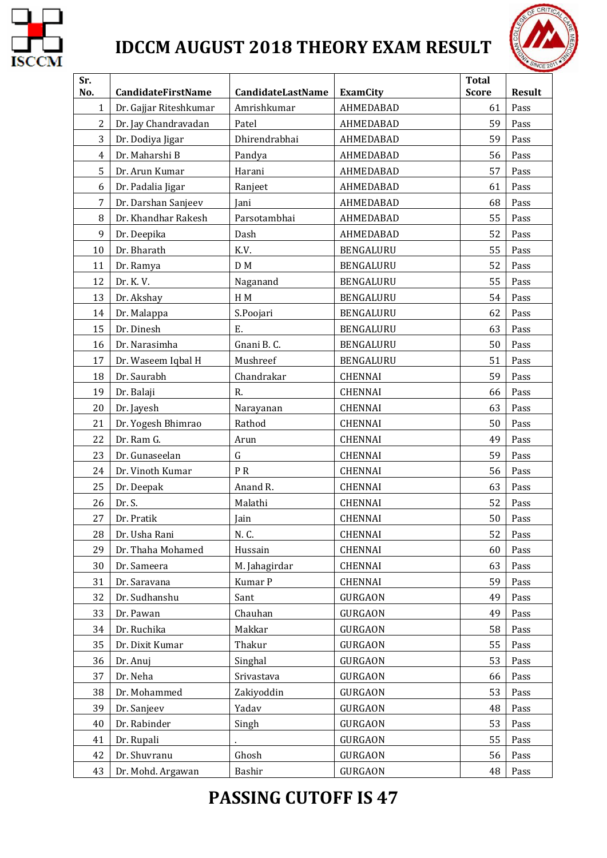

# **IDCCM AUGUST 2018 THEORY EXAM RESULT**



| Sr.<br>No.     | CandidateFirstName                         | <b>CandidateLastName</b> | <b>ExamCity</b>        | <b>Total</b><br><b>Score</b> | <b>Result</b> |
|----------------|--------------------------------------------|--------------------------|------------------------|------------------------------|---------------|
| $\mathbf{1}$   | Dr. Gajjar Riteshkumar                     | Amrishkumar              | AHMEDABAD              | 61                           | Pass          |
| $\overline{c}$ | Dr. Jay Chandravadan                       | Patel                    | AHMEDABAD              | 59                           | Pass          |
| 3              | Dr. Dodiya Jigar                           | Dhirendrabhai            | AHMEDABAD              | 59                           | Pass          |
| $\overline{4}$ | Dr. Maharshi B                             |                          | AHMEDABAD              | 56                           | Pass          |
| 5              | Dr. Arun Kumar                             | Pandya<br>Harani         | AHMEDABAD              | 57                           | Pass          |
| 6              |                                            |                          | AHMEDABAD              | 61                           | Pass          |
| 7              | Dr. Padalia Jigar                          | Ranjeet<br>Jani          | AHMEDABAD              | 68                           | Pass          |
| 8              | Dr. Darshan Sanjeev<br>Dr. Khandhar Rakesh | Parsotambhai             |                        | 55                           |               |
| 9              |                                            |                          | AHMEDABAD<br>AHMEDABAD | 52                           | Pass          |
|                | Dr. Deepika<br>Dr. Bharath                 | Dash<br>K.V.             |                        | 55                           | Pass          |
| 10             |                                            |                          | BENGALURU              |                              | Pass          |
| 11             | Dr. Ramya                                  | D M                      | BENGALURU              | 52                           | Pass          |
| 12             | Dr. K. V.                                  | Naganand                 | BENGALURU              | 55                           | Pass          |
| 13             | Dr. Akshay                                 | H M                      | BENGALURU              | 54                           | Pass          |
| 14             | Dr. Malappa                                | S.Poojari                | BENGALURU              | 62                           | Pass          |
| 15             | Dr. Dinesh                                 | E.                       | BENGALURU              | 63                           | Pass          |
| 16             | Dr. Narasimha                              | Gnani B.C.               | <b>BENGALURU</b>       | 50                           | Pass          |
| 17             | Dr. Waseem Iqbal H                         | Mushreef                 | BENGALURU              | 51                           | Pass          |
| 18             | Dr. Saurabh                                | Chandrakar               | <b>CHENNAI</b>         | 59                           | Pass          |
| 19             | Dr. Balaji                                 | R.                       | <b>CHENNAI</b>         | 66                           | Pass          |
| 20             | Dr. Jayesh                                 | Narayanan                | <b>CHENNAI</b>         | 63                           | Pass          |
| 21             | Dr. Yogesh Bhimrao                         | Rathod                   | <b>CHENNAI</b>         | 50                           | Pass          |
| 22             | Dr. Ram G.                                 | Arun                     | <b>CHENNAI</b>         | 49                           | Pass          |
| 23             | Dr. Gunaseelan                             | $\mathsf G$              | <b>CHENNAI</b>         | 59                           | Pass          |
| 24             | Dr. Vinoth Kumar                           | PR                       | <b>CHENNAI</b>         | 56                           | Pass          |
| 25             | Dr. Deepak                                 | Anand R.                 | <b>CHENNAI</b>         | 63                           | Pass          |
| 26             | Dr. S.                                     | Malathi                  | CHENNAI                | 52                           | Pass          |
| 27             | Dr. Pratik                                 | Jain                     | <b>CHENNAI</b>         | 50                           | Pass          |
| 28             | Dr. Usha Rani                              | N.C.                     | CHENNAI                | 52                           | Pass          |
| 29             | Dr. Thaha Mohamed                          | Hussain                  | <b>CHENNAI</b>         | 60                           | Pass          |
| 30             | Dr. Sameera                                | M. Jahagirdar            | <b>CHENNAI</b>         | 63                           | Pass          |
| 31             | Dr. Saravana                               | Kumar P                  | CHENNAI                | 59                           | Pass          |
| 32             | Dr. Sudhanshu                              | Sant                     | <b>GURGAON</b>         | 49                           | Pass          |
| 33             | Dr. Pawan                                  | Chauhan                  | <b>GURGAON</b>         | 49                           | Pass          |
| 34             | Dr. Ruchika                                | Makkar                   | <b>GURGAON</b>         | 58                           | Pass          |
| 35             | Dr. Dixit Kumar                            | Thakur                   | <b>GURGAON</b>         | 55                           | Pass          |
| 36             | Dr. Anuj                                   | Singhal                  | <b>GURGAON</b>         | 53                           | Pass          |
| 37             | Dr. Neha                                   | Srivastava               | GURGAON                | 66                           | Pass          |
| 38             | Dr. Mohammed                               | Zakiyoddin               | <b>GURGAON</b>         | 53                           | Pass          |
| 39             | Dr. Sanjeev                                | Yadav                    | <b>GURGAON</b>         | 48                           | Pass          |
| 40             | Dr. Rabinder                               | Singh                    | <b>GURGAON</b>         | 53                           | Pass          |
| 41             | Dr. Rupali                                 |                          | <b>GURGAON</b>         | 55                           | Pass          |
| 42             | Dr. Shuvranu                               | Ghosh                    | <b>GURGAON</b>         | 56                           | Pass          |
| 43             | Dr. Mohd. Argawan                          | Bashir                   | <b>GURGAON</b>         | 48                           | Pass          |

### **PASSING CUTOFF IS 47**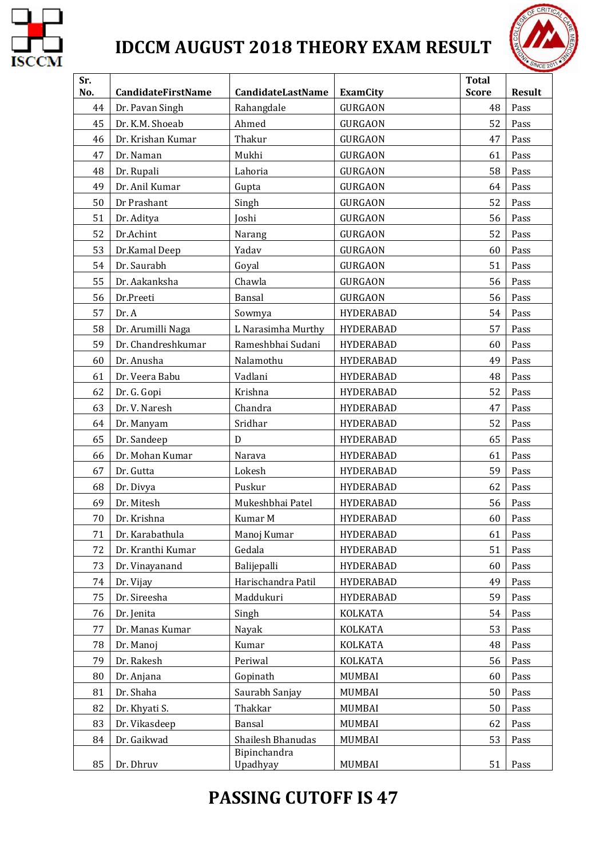

# **IDCCM AUGUST 2018 THEORY EXAM RESULT**



| Sr.<br>No. | CandidateFirstName | <b>CandidateLastName</b> | <b>ExamCity</b>  | <b>Total</b><br><b>Score</b> | <b>Result</b> |
|------------|--------------------|--------------------------|------------------|------------------------------|---------------|
| 44         | Dr. Pavan Singh    | Rahangdale               | <b>GURGAON</b>   | 48                           | Pass          |
| 45         | Dr. K.M. Shoeab    | Ahmed                    | <b>GURGAON</b>   | 52                           | Pass          |
| 46         | Dr. Krishan Kumar  | Thakur                   | <b>GURGAON</b>   | 47                           | Pass          |
| 47         | Dr. Naman          | Mukhi                    | <b>GURGAON</b>   | 61                           | Pass          |
| 48         | Dr. Rupali         | Lahoria                  | <b>GURGAON</b>   | 58                           | Pass          |
| 49         | Dr. Anil Kumar     | Gupta                    | <b>GURGAON</b>   | 64                           | Pass          |
| 50         | Dr Prashant        | Singh                    | <b>GURGAON</b>   | 52                           | Pass          |
| 51         | Dr. Aditya         | Joshi                    | <b>GURGAON</b>   | 56                           | Pass          |
| 52         | Dr.Achint          | Narang                   | <b>GURGAON</b>   | 52                           | Pass          |
| 53         | Dr.Kamal Deep      | Yadav                    | <b>GURGAON</b>   | 60                           | Pass          |
| 54         | Dr. Saurabh        | Goyal                    | <b>GURGAON</b>   | 51                           | Pass          |
| 55         | Dr. Aakanksha      | Chawla                   | <b>GURGAON</b>   | 56                           | Pass          |
| 56         | Dr.Preeti          | Bansal                   | <b>GURGAON</b>   | 56                           | Pass          |
| 57         | Dr. A              | Sowmya                   | <b>HYDERABAD</b> | 54                           | Pass          |
| 58         | Dr. Arumilli Naga  | L Narasimha Murthy       | <b>HYDERABAD</b> | 57                           | Pass          |
| 59         | Dr. Chandreshkumar | Rameshbhai Sudani        | <b>HYDERABAD</b> | 60                           | Pass          |
| 60         | Dr. Anusha         | Nalamothu                | <b>HYDERABAD</b> | 49                           | Pass          |
| 61         | Dr. Veera Babu     | Vadlani                  | <b>HYDERABAD</b> | 48                           | Pass          |
| 62         | Dr. G. Gopi        | Krishna                  | <b>HYDERABAD</b> | 52                           | Pass          |
| 63         | Dr. V. Naresh      | Chandra                  | <b>HYDERABAD</b> | 47                           | Pass          |
| 64         | Dr. Manyam         | Sridhar                  | <b>HYDERABAD</b> | 52                           | Pass          |
| 65         | Dr. Sandeep        | D                        | <b>HYDERABAD</b> | 65                           | Pass          |
| 66         | Dr. Mohan Kumar    | Narava                   | <b>HYDERABAD</b> | 61                           | Pass          |
| 67         | Dr. Gutta          | Lokesh                   | <b>HYDERABAD</b> | 59                           | Pass          |
| 68         | Dr. Divya          | Puskur                   | <b>HYDERABAD</b> | 62                           | Pass          |
| 69         | Dr. Mitesh         | Mukeshbhai Patel         | <b>HYDERABAD</b> | 56                           | Pass          |
| 70         | Dr. Krishna        | Kumar M                  | <b>HYDERABAD</b> | 60                           | Pass          |
| 71         | Dr. Karabathula    | Manoj Kumar              | <b>HYDERABAD</b> | 61                           | Pass          |
| 72         | Dr. Kranthi Kumar  | Gedala                   | <b>HYDERABAD</b> | 51                           | Pass          |
| 73         | Dr. Vinayanand     | Balijepalli              | <b>HYDERABAD</b> | 60                           | Pass          |
| 74         | Dr. Vijay          | Harischandra Patil       | <b>HYDERABAD</b> | 49                           | Pass          |
| 75         | Dr. Sireesha       | Maddukuri                | <b>HYDERABAD</b> | 59                           | Pass          |
| 76         | Dr. Jenita         | Singh                    | KOLKATA          | 54                           | Pass          |
| 77         | Dr. Manas Kumar    | Nayak                    | KOLKATA          | 53                           | Pass          |
| 78         | Dr. Manoj          | Kumar                    | <b>KOLKATA</b>   | 48                           | Pass          |
| 79         | Dr. Rakesh         | Periwal                  | <b>KOLKATA</b>   | 56                           | Pass          |
| 80         | Dr. Anjana         | Gopinath                 | MUMBAI           | 60                           | Pass          |
| 81         | Dr. Shaha          | Saurabh Sanjay           | MUMBAI           | 50                           | Pass          |
| 82         | Dr. Khyati S.      | Thakkar                  | MUMBAI           | 50                           | Pass          |
| 83         | Dr. Vikasdeep      | Bansal                   | MUMBAI           | 62                           | Pass          |
| 84         | Dr. Gaikwad        | Shailesh Bhanudas        | MUMBAI           | 53                           | Pass          |
| 85         | Dr. Dhruv          | Bipinchandra<br>Upadhyay | MUMBAI           | 51                           | Pass          |

### **PASSING CUTOFF IS 47**